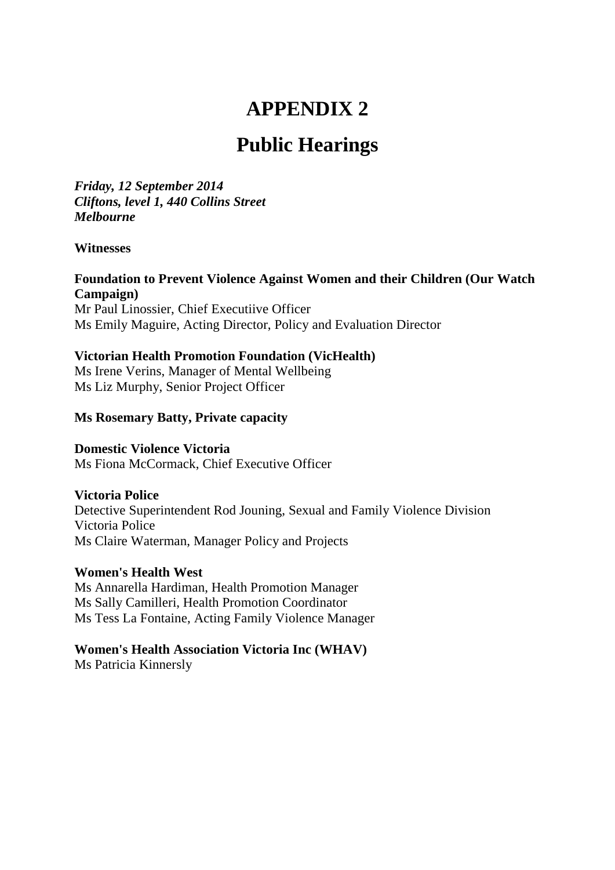# **APPENDIX 2**

# **Public Hearings**

*Friday, 12 September 2014 Cliftons, level 1, 440 Collins Street Melbourne* 

#### **Witnesses**

#### **Foundation to Prevent Violence Against Women and their Children (Our Watch Campaign)**  Mr Paul Linossier, Chief Executiive Officer

Ms Emily Maguire, Acting Director, Policy and Evaluation Director

## **Victorian Health Promotion Foundation (VicHealth)**

Ms Irene Verins, Manager of Mental Wellbeing Ms Liz Murphy, Senior Project Officer

## **Ms Rosemary Batty, Private capacity**

## **Domestic Violence Victoria**

Ms Fiona McCormack, Chief Executive Officer

## **Victoria Police**

Detective Superintendent Rod Jouning, Sexual and Family Violence Division Victoria Police Ms Claire Waterman, Manager Policy and Projects

## **Women's Health West**

Ms Annarella Hardiman, Health Promotion Manager Ms Sally Camilleri, Health Promotion Coordinator Ms Tess La Fontaine, Acting Family Violence Manager

## **Women's Health Association Victoria Inc (WHAV)**

Ms Patricia Kinnersly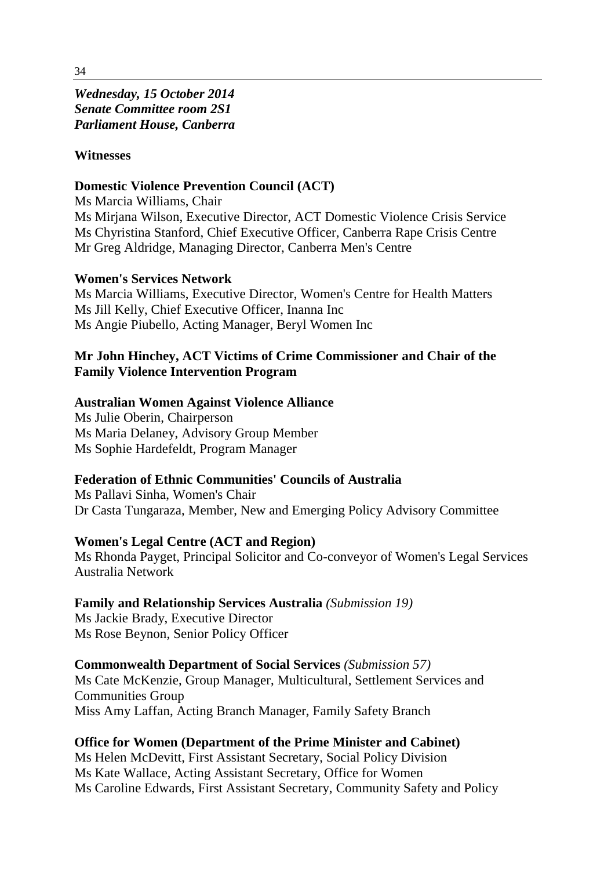*Wednesday, 15 October 2014 Senate Committee room 2S1 Parliament House, Canberra*

#### **Witnesses**

#### **Domestic Violence Prevention Council (ACT)**

Ms Marcia Williams, Chair Ms Mirjana Wilson, Executive Director, ACT Domestic Violence Crisis Service Ms Chyristina Stanford, Chief Executive Officer, Canberra Rape Crisis Centre Mr Greg Aldridge, Managing Director, Canberra Men's Centre

#### **Women's Services Network**

Ms Marcia Williams, Executive Director, Women's Centre for Health Matters Ms Jill Kelly, Chief Executive Officer, Inanna Inc Ms Angie Piubello, Acting Manager, Beryl Women Inc

# **Mr John Hinchey, ACT Victims of Crime Commissioner and Chair of the Family Violence Intervention Program**

#### **Australian Women Against Violence Alliance**

Ms Julie Oberin, Chairperson Ms Maria Delaney, Advisory Group Member Ms Sophie Hardefeldt, Program Manager

## **Federation of Ethnic Communities' Councils of Australia**

Ms Pallavi Sinha, Women's Chair Dr Casta Tungaraza, Member, New and Emerging Policy Advisory Committee

#### **Women's Legal Centre (ACT and Region)**

Ms Rhonda Payget, Principal Solicitor and Co-conveyor of Women's Legal Services Australia Network

**Family and Relationship Services Australia** *(Submission 19)*

Ms Jackie Brady, Executive Director Ms Rose Beynon, Senior Policy Officer

## **Commonwealth Department of Social Services** *(Submission 57)*

Ms Cate McKenzie, Group Manager, Multicultural, Settlement Services and Communities Group Miss Amy Laffan, Acting Branch Manager, Family Safety Branch

## **Office for Women (Department of the Prime Minister and Cabinet)**

Ms Helen McDevitt, First Assistant Secretary, Social Policy Division Ms Kate Wallace, Acting Assistant Secretary, Office for Women Ms Caroline Edwards, First Assistant Secretary, Community Safety and Policy

34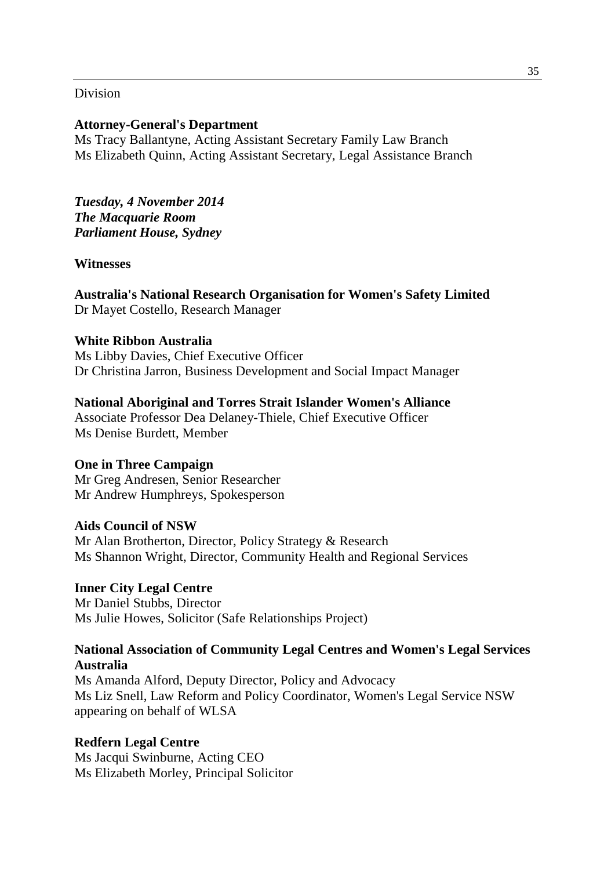#### Division

#### **Attorney-General's Department**

Ms Tracy Ballantyne, Acting Assistant Secretary Family Law Branch Ms Elizabeth Quinn, Acting Assistant Secretary, Legal Assistance Branch

*Tuesday, 4 November 2014 The Macquarie Room Parliament House, Sydney*

#### **Witnesses**

**Australia's National Research Organisation for Women's Safety Limited**  Dr Mayet Costello, Research Manager

#### **White Ribbon Australia**

Ms Libby Davies, Chief Executive Officer Dr Christina Jarron, Business Development and Social Impact Manager

#### **National Aboriginal and Torres Strait Islander Women's Alliance**

Associate Professor Dea Delaney-Thiele, Chief Executive Officer Ms Denise Burdett, Member

#### **One in Three Campaign**

Mr Greg Andresen, Senior Researcher Mr Andrew Humphreys, Spokesperson

#### **Aids Council of NSW**

Mr Alan Brotherton, Director, Policy Strategy & Research Ms Shannon Wright, Director, Community Health and Regional Services

#### **Inner City Legal Centre**

Mr Daniel Stubbs, Director Ms Julie Howes, Solicitor (Safe Relationships Project)

## **National Association of Community Legal Centres and Women's Legal Services Australia**

Ms Amanda Alford, Deputy Director, Policy and Advocacy Ms Liz Snell, Law Reform and Policy Coordinator, Women's Legal Service NSW appearing on behalf of WLSA

## **Redfern Legal Centre**

Ms Jacqui Swinburne, Acting CEO Ms Elizabeth Morley, Principal Solicitor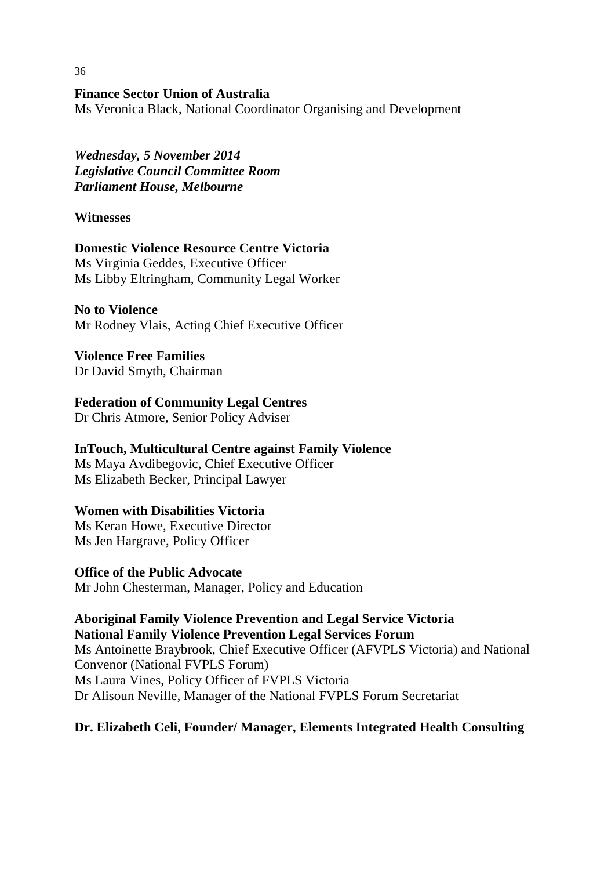## **Finance Sector Union of Australia**

Ms Veronica Black, National Coordinator Organising and Development

*Wednesday, 5 November 2014 Legislative Council Committee Room Parliament House, Melbourne*

# **Witnesses**

**Domestic Violence Resource Centre Victoria**  Ms Virginia Geddes, Executive Officer Ms Libby Eltringham, Community Legal Worker

**No to Violence**  Mr Rodney Vlais, Acting Chief Executive Officer

**Violence Free Families**  Dr David Smyth, Chairman

# **Federation of Community Legal Centres**

Dr Chris Atmore, Senior Policy Adviser

## **InTouch, Multicultural Centre against Family Violence**

Ms Maya Avdibegovic, Chief Executive Officer Ms Elizabeth Becker, Principal Lawyer

# **Women with Disabilities Victoria**

Ms Keran Howe, Executive Director Ms Jen Hargrave, Policy Officer

**Office of the Public Advocate**  Mr John Chesterman, Manager, Policy and Education

**Aboriginal Family Violence Prevention and Legal Service Victoria National Family Violence Prevention Legal Services Forum** Ms Antoinette Braybrook, Chief Executive Officer (AFVPLS Victoria) and National Convenor (National FVPLS Forum) Ms Laura Vines, Policy Officer of FVPLS Victoria Dr Alisoun Neville, Manager of the National FVPLS Forum Secretariat

# **Dr. Elizabeth Celi, Founder/ Manager, Elements Integrated Health Consulting**

36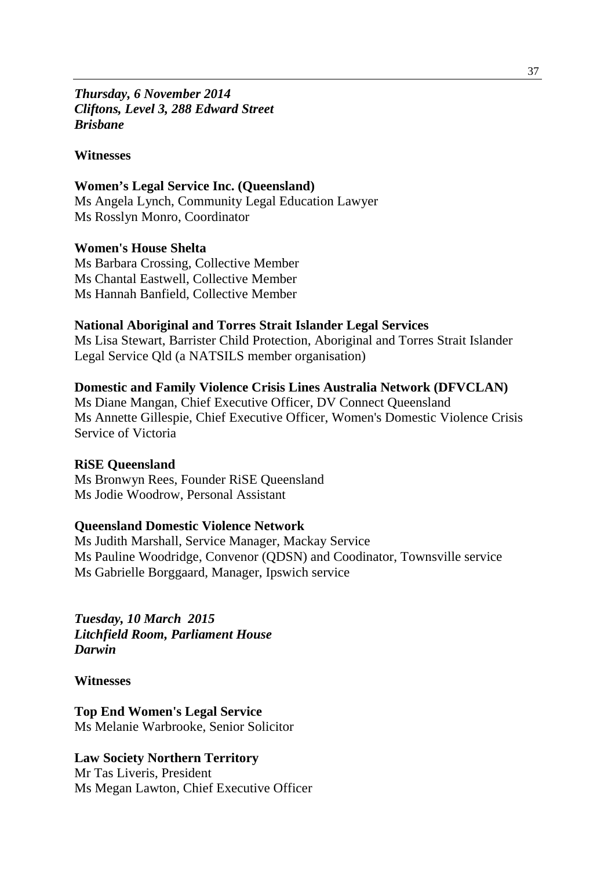## *Thursday, 6 November 2014 Cliftons, Level 3, 288 Edward Street Brisbane*

#### **Witnesses**

#### **Women's Legal Service Inc. (Queensland)**

Ms Angela Lynch, Community Legal Education Lawyer Ms Rosslyn Monro, Coordinator

#### **Women's House Shelta**

Ms Barbara Crossing, Collective Member Ms Chantal Eastwell, Collective Member Ms Hannah Banfield, Collective Member

#### **National Aboriginal and Torres Strait Islander Legal Services**

Ms Lisa Stewart, Barrister Child Protection, Aboriginal and Torres Strait Islander Legal Service Qld (a NATSILS member organisation)

#### **Domestic and Family Violence Crisis Lines Australia Network (DFVCLAN)**

Ms Diane Mangan, Chief Executive Officer, DV Connect Queensland Ms Annette Gillespie, Chief Executive Officer, Women's Domestic Violence Crisis Service of Victoria

#### **RiSE Queensland**

Ms Bronwyn Rees, Founder RiSE Queensland Ms Jodie Woodrow, Personal Assistant

# **Queensland Domestic Violence Network**

Ms Judith Marshall, Service Manager, Mackay Service Ms Pauline Woodridge, Convenor (QDSN) and Coodinator, Townsville service Ms Gabrielle Borggaard, Manager, Ipswich service

*Tuesday, 10 March 2015 Litchfield Room, Parliament House Darwin*

**Witnesses**

**Top End Women's Legal Service** Ms Melanie Warbrooke, Senior Solicitor

#### **Law Society Northern Territory**

Mr Tas Liveris, President Ms Megan Lawton, Chief Executive Officer